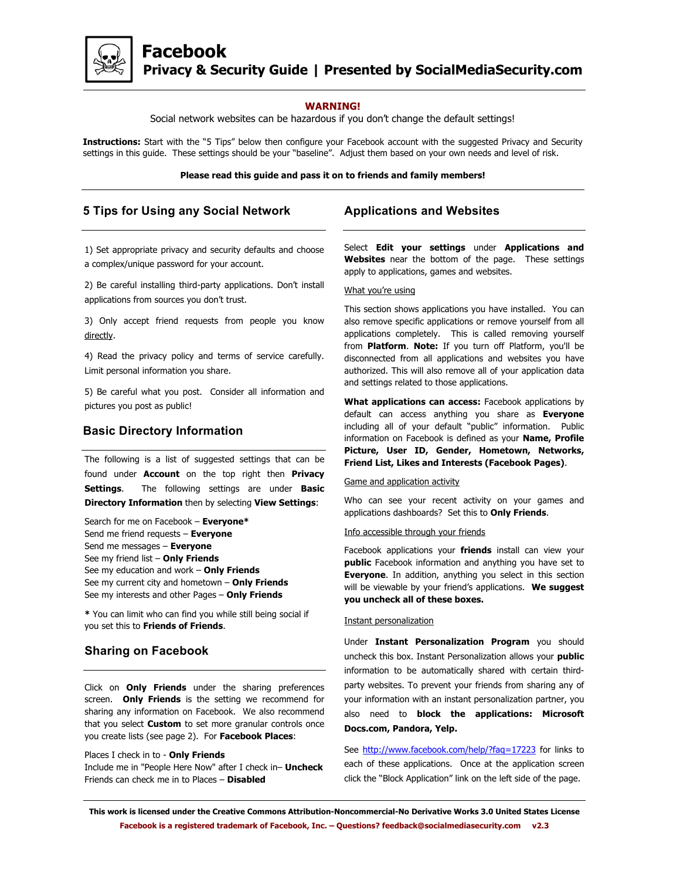

### **WARNING!**

Social network websites can be hazardous if you don't change the default settings!

**Instructions:** Start with the "5 Tips" below then configure your Facebook account with the suggested Privacy and Security settings in this guide. These settings should be your "baseline". Adjust them based on your own needs and level of risk.

#### **Please read this guide and pass it on to friends and family members!**

# **5 Tips for Using any Social Network**

1) Set appropriate privacy and security defaults and choose a complex/unique password for your account.

2) Be careful installing third-party applications. Don't install applications from sources you don't trust.

3) Only accept friend requests from people you know directly.

4) Read the privacy policy and terms of service carefully. Limit personal information you share.

5) Be careful what you post. Consider all information and pictures you post as public!

### **Basic Directory Information**

The following is a list of suggested settings that can be found under **Account** on the top right then **Privacy Settings**. The following settings are under **Basic Directory Information** then by selecting **View Settings**:

Search for me on Facebook – **Everyone\*** Send me friend requests – **Everyone** Send me messages – **Everyone** See my friend list – **Only Friends** See my education and work – **Only Friends** See my current city and hometown – **Only Friends** See my interests and other Pages – **Only Friends**

**\*** You can limit who can find you while still being social if you set this to **Friends of Friends**.

# **Sharing on Facebook**

Click on **Only Friends** under the sharing preferences screen. **Only Friends** is the setting we recommend for sharing any information on Facebook. We also recommend that you select **Custom** to set more granular controls once you create lists (see page 2). For **Facebook Places**:

#### Places I check in to - **Only Friends**

Include me in "People Here Now" after I check in– **Uncheck** Friends can check me in to Places – **Disabled**

## **Applications and Websites**

Select **Edit your settings** under **Applications and Websites** near the bottom of the page. These settings apply to applications, games and websites.

### What you're using

This section shows applications you have installed. You can also remove specific applications or remove yourself from all applications completely. This is called removing yourself from **Platform**. **Note:** If you turn off Platform, you'll be disconnected from all applications and websites you have authorized. This will also remove all of your application data and settings related to those applications.

**What applications can access:** Facebook applications by default can access anything you share as **Everyone** including all of your default "public" information. Public information on Facebook is defined as your **Name, Profile Picture, User ID, Gender, Hometown, Networks, Friend List, Likes and Interests (Facebook Pages)**.

### Game and application activity

Who can see your recent activity on your games and applications dashboards? Set this to **Only Friends**.

#### Info accessible through your friends

Facebook applications your **friends** install can view your **public** Facebook information and anything you have set to **Everyone**. In addition, anything you select in this section will be viewable by your friend's applications. **We suggest you uncheck all of these boxes.**

### Instant personalization

Under **Instant Personalization Program** you should uncheck this box. Instant Personalization allows your **public** information to be automatically shared with certain thirdparty websites. To prevent your friends from sharing any of your information with an instant personalization partner, you also need to **block the applications: Microsoft Docs.com, Pandora, Yelp.**

See http://www.facebook.com/help/?faq=17223 for links to each of these applications. Once at the application screen click the "Block Application" link on the left side of the page.

**This work is licensed under the Creative Commons Attribution-Noncommercial-No Derivative Works 3.0 United States License Facebook is a registered trademark of Facebook, Inc. – Questions? feedback@socialmediasecurity.com v2.3**